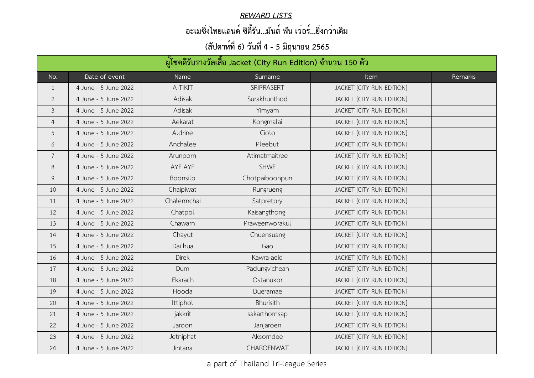| ้ผู้โชคดีรับรางวัลเสื้อ Jacket (City Run Edition) จำนวน 150 ตัว |                      |                 |                   |                           |         |  |
|-----------------------------------------------------------------|----------------------|-----------------|-------------------|---------------------------|---------|--|
| No.                                                             | Date of event        | Name            | Surname           | <b>Item</b>               | Remarks |  |
| $\perp$                                                         | 4 June - 5 June 2022 | A-TIKIT         | <b>SRIPRASERT</b> | JACKET [CITY RUN EDITION] |         |  |
| $\overline{2}$                                                  | 4 June - 5 June 2022 | Adisak          | Surakhunthod      | JACKET [CITY RUN EDITION] |         |  |
| $\mathfrak{Z}$                                                  | 4 June - 5 June 2022 | Adisak          | Yimyam            | JACKET [CITY RUN EDITION] |         |  |
| 4                                                               | 4 June - 5 June 2022 | Aekarat         | Kongmalai         | JACKET [CITY RUN EDITION] |         |  |
| 5                                                               | 4 June - 5 June 2022 | Aldrine         | Ciolo             | JACKET [CITY RUN EDITION] |         |  |
| 6                                                               | 4 June - 5 June 2022 | Anchalee        | Pleebut           | JACKET [CITY RUN EDITION] |         |  |
|                                                                 | 4 June - 5 June 2022 | Arunporn        | Atimatmaitree     | JACKET [CITY RUN EDITION] |         |  |
| 8                                                               | 4 June - 5 June 2022 | AYE AYE         | <b>SHWE</b>       | JACKET [CITY RUN EDITION] |         |  |
| 9                                                               | 4 June - 5 June 2022 | <b>Boonsilp</b> | Chotpaiboonpun    | JACKET [CITY RUN EDITION] |         |  |
| 10                                                              | 4 June - 5 June 2022 | Chaipiwat       | Rungrueng         | JACKET [CITY RUN EDITION] |         |  |
| 11                                                              | 4 June - 5 June 2022 | Chalermchai     | Satpretpry        | JACKET [CITY RUN EDITION] |         |  |
| 12                                                              | 4 June - 5 June 2022 | Chatpol         | Kaisangthong      | JACKET [CITY RUN EDITION] |         |  |
| 13                                                              | 4 June - 5 June 2022 | Chawarn         | Praweenworakul    | JACKET [CITY RUN EDITION] |         |  |
| 14                                                              | 4 June - 5 June 2022 | Chayut          | Chuensuang        | JACKET [CITY RUN EDITION] |         |  |
| 15                                                              | 4 June - 5 June 2022 | Dai hua         | Gao               | JACKET [CITY RUN EDITION] |         |  |
| 16                                                              | 4 June - 5 June 2022 | <b>Direk</b>    | Kawra-aeid        | JACKET [CITY RUN EDITION] |         |  |
| 17                                                              | 4 June - 5 June 2022 | Dum             | Padungvichean     | JACKET [CITY RUN EDITION] |         |  |
| 18                                                              | 4 June - 5 June 2022 | Ekarach         | Ostanukor         | JACKET [CITY RUN EDITION] |         |  |
| 19                                                              | 4 June - 5 June 2022 | Hooda           | Dueramae          | JACKET [CITY RUN EDITION] |         |  |
| 20                                                              | 4 June - 5 June 2022 | Ittiphol        | <b>Bhurisith</b>  | JACKET [CITY RUN EDITION] |         |  |
| 21                                                              | 4 June - 5 June 2022 | jakkrit         | sakarthornsap     | JACKET [CITY RUN EDITION] |         |  |
| 22                                                              | 4 June - 5 June 2022 | Jaroon          | Janjaroen         | JACKET [CITY RUN EDITION] |         |  |
| 23                                                              | 4 June - 5 June 2022 | Jetniphat       | Aksorndee         | JACKET [CITY RUN EDITION] |         |  |
| 24                                                              | 4 June - 5 June 2022 | Jintana         | CHAROENWAT        | JACKET [CITY RUN EDITION] |         |  |

#### *REWARD LISTS*

### **อะเมซิ่งไทยแลนด์ ซิตี้รัน...มันส์ ฟัน เว่อร์...ยิ่งกว่าเดิม**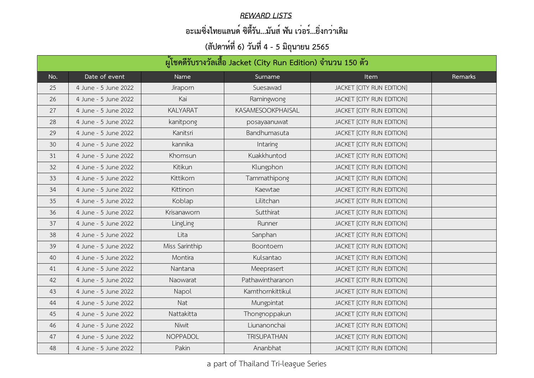#### *REWARD LISTS*

### **อะเมซิ่งไทยแลนด์ ซิตี้รัน...มันส์ ฟัน เว่อร์...ยิ่งกว่าเดิม**

| ผู้โชคดีรับรางวัลเสื้อ Jacket (City Run Edition) จำนวน 150 ตัว |                      |                 |                          |                           |         |  |
|----------------------------------------------------------------|----------------------|-----------------|--------------------------|---------------------------|---------|--|
| No.                                                            | Date of event        | Name            | Surname                  | <b>Item</b>               | Remarks |  |
| 25                                                             | 4 June - 5 June 2022 | <b>Jiraporn</b> | Suesawad                 | JACKET [CITY RUN EDITION] |         |  |
| 26                                                             | 4 June - 5 June 2022 | Kai             | Ramingwong               | JACKET [CITY RUN EDITION] |         |  |
| 27                                                             | 4 June - 5 June 2022 | <b>KALYARAT</b> | <b>KASAMESOOKPHAISAL</b> | JACKET [CITY RUN EDITION] |         |  |
| 28                                                             | 4 June - 5 June 2022 | kanitpong       | posayaanuwat             | JACKET [CITY RUN EDITION] |         |  |
| 29                                                             | 4 June - 5 June 2022 | Kanitsri        | Bandhumasuta             | JACKET [CITY RUN EDITION] |         |  |
| 30                                                             | 4 June - 5 June 2022 | kannika         | Intaring                 | JACKET [CITY RUN EDITION] |         |  |
| 31                                                             | 4 June - 5 June 2022 | Khomsun         | Kuakkhuntod              | JACKET [CITY RUN EDITION] |         |  |
| 32                                                             | 4 June - 5 June 2022 | Kitikun         | Klungphon                | JACKET [CITY RUN EDITION] |         |  |
| 33                                                             | 4 June - 5 June 2022 | Kittikorn       | Tammathipong             | JACKET [CITY RUN EDITION] |         |  |
| 34                                                             | 4 June - 5 June 2022 | Kittinon        | Kaewtae                  | JACKET [CITY RUN EDITION] |         |  |
| 35                                                             | 4 June - 5 June 2022 | Koblap          | Lilitchan                | JACKET [CITY RUN EDITION] |         |  |
| 36                                                             | 4 June - 5 June 2022 | Krisanaworn     | Sutthirat                | JACKET [CITY RUN EDITION] |         |  |
| 37                                                             | 4 June - 5 June 2022 | LingLing        | Runner                   | JACKET [CITY RUN EDITION] |         |  |
| 38                                                             | 4 June - 5 June 2022 | Lita            | Sanphan                  | JACKET [CITY RUN EDITION] |         |  |
| 39                                                             | 4 June - 5 June 2022 | Miss Sarinthip  | Boontoem                 | JACKET [CITY RUN EDITION] |         |  |
| 40                                                             | 4 June - 5 June 2022 | Montira         | Kulsantao                | JACKET [CITY RUN EDITION] |         |  |
| 41                                                             | 4 June - 5 June 2022 | Nantana         | Meeprasert               | JACKET [CITY RUN EDITION] |         |  |
| 42                                                             | 4 June - 5 June 2022 | Naowarat        | Pathawintharanon         | JACKET [CITY RUN EDITION] |         |  |
| 43                                                             | 4 June - 5 June 2022 | Napol           | Kamthornkittikul         | JACKET [CITY RUN EDITION] |         |  |
| 44                                                             | 4 June - 5 June 2022 | Nat             | Mungpintat               | JACKET [CITY RUN EDITION] |         |  |
| 45                                                             | 4 June - 5 June 2022 | Nattakitta      | Thongnoppakun            | JACKET [CITY RUN EDITION] |         |  |
| 46                                                             | 4 June - 5 June 2022 | Niwit           | Liunanonchai             | JACKET [CITY RUN EDITION] |         |  |
| 47                                                             | 4 June - 5 June 2022 | <b>NOPPADOL</b> | <b>TRISUPATHAN</b>       | JACKET [CITY RUN EDITION] |         |  |
| 48                                                             | 4 June - 5 June 2022 | Pakin           | Ananbhat                 | JACKET [CITY RUN EDITION] |         |  |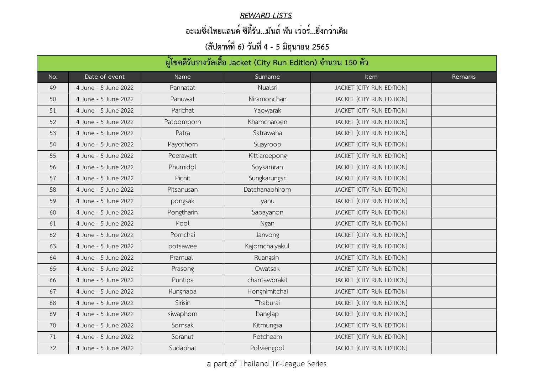#### *REWARD LISTS*

### **อะเมซิ่งไทยแลนด์ ซิตี้รัน...มันส์ ฟัน เว่อร์...ยิ่งกว่าเดิม**

| ผู้โชคดีรับรางวัลเสื้อ Jacket (City Run Edition) จำนวน 150 ตัว |                      |            |                 |                           |         |
|----------------------------------------------------------------|----------------------|------------|-----------------|---------------------------|---------|
| No.                                                            | Date of event        | Name       | Surname         | <b>Item</b>               | Remarks |
| 49                                                             | 4 June - 5 June 2022 | Pannatat   | Nualsri         | JACKET [CITY RUN EDITION] |         |
| 50                                                             | 4 June - 5 June 2022 | Panuwat    | Niramonchan     | JACKET [CITY RUN EDITION] |         |
| 51                                                             | 4 June - 5 June 2022 | Parichat   | Yaowarak        | JACKET [CITY RUN EDITION] |         |
| 52                                                             | 4 June - 5 June 2022 | Patoomporn | Khamcharoen     | JACKET [CITY RUN EDITION] |         |
| 53                                                             | 4 June - 5 June 2022 | Patra      | Satrawaha       | JACKET [CITY RUN EDITION] |         |
| 54                                                             | 4 June - 5 June 2022 | Payothorn  | Suayroop        | JACKET [CITY RUN EDITION] |         |
| 55                                                             | 4 June - 5 June 2022 | Peerawatt  | Kittiareepong   | JACKET [CITY RUN EDITION] |         |
| 56                                                             | 4 June - 5 June 2022 | Phumidol   | Soysamran       | JACKET [CITY RUN EDITION] |         |
| 57                                                             | 4 June - 5 June 2022 | Pichit     | Sungkarungsri   | JACKET [CITY RUN EDITION] |         |
| 58                                                             | 4 June - 5 June 2022 | Pitsanusan | Datchanabhirom  | JACKET [CITY RUN EDITION] |         |
| 59                                                             | 4 June - 5 June 2022 | pongsak    | yanu            | JACKET [CITY RUN EDITION] |         |
| 60                                                             | 4 June - 5 June 2022 | Pongtharin | Sapayanon       | JACKET [CITY RUN EDITION] |         |
| 61                                                             | 4 June - 5 June 2022 | Pool       | Ngan            | JACKET [CITY RUN EDITION] |         |
| 62                                                             | 4 June - 5 June 2022 | Pornchai   | Janvong         | JACKET [CITY RUN EDITION] |         |
| 63                                                             | 4 June - 5 June 2022 | potsawee   | Kajornchaiyakul | JACKET [CITY RUN EDITION] |         |
| 64                                                             | 4 June - 5 June 2022 | Pramual    | Ruangsin        | JACKET [CITY RUN EDITION] |         |
| 65                                                             | 4 June - 5 June 2022 | Prasong    | Owatsak         | JACKET [CITY RUN EDITION] |         |
| 66                                                             | 4 June - 5 June 2022 | Puntipa    | chantaworakit   | JACKET [CITY RUN EDITION] |         |
| 67                                                             | 4 June - 5 June 2022 | Rungnapa   | Hongnimitchai   | JACKET [CITY RUN EDITION] |         |
| 68                                                             | 4 June - 5 June 2022 | Sirisin    | Thaburai        | JACKET [CITY RUN EDITION] |         |
| 69                                                             | 4 June - 5 June 2022 | siwaphorn  | banglap         | JACKET [CITY RUN EDITION] |         |
| 70                                                             | 4 June - 5 June 2022 | Somsak     | Kitmungsa       | JACKET [CITY RUN EDITION] |         |
| 71                                                             | 4 June - 5 June 2022 | Soranut    | Petcheam        | JACKET [CITY RUN EDITION] |         |
| 72                                                             | 4 June - 5 June 2022 | Sudaphat   | Polviengpol     | JACKET [CITY RUN EDITION] |         |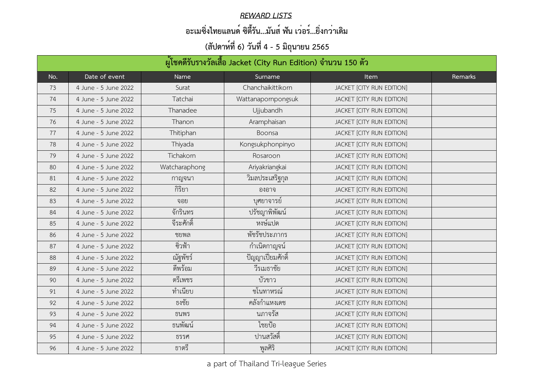#### *REWARD LISTS*

### **อะเมซิ่งไทยแลนด์ ซิตี้รัน...มันส์ ฟัน เว่อร์...ยิ่งกว่าเดิม**

|     | ้ผู้โชคดีรับรางวัลเสื้อ Jacket (City Run Edition) จำนวน 150 ตัว |                  |                      |                           |         |  |
|-----|-----------------------------------------------------------------|------------------|----------------------|---------------------------|---------|--|
| No. | Date of event                                                   | <b>Name</b>      | Surname              | <b>Item</b>               | Remarks |  |
| 73  | 4 June - 5 June 2022                                            | Surat            | Chanchaikittikorn    | JACKET [CITY RUN EDITION] |         |  |
| 74  | 4 June - 5 June 2022                                            | Tatchai          | Wattanapornpongsuk   | JACKET [CITY RUN EDITION] |         |  |
| 75  | 4 June - 5 June 2022                                            | Thanadee         | <b>Ujjubandh</b>     | JACKET [CITY RUN EDITION] |         |  |
| 76  | 4 June - 5 June 2022                                            | Thanon           | Aramphaisan          | JACKET [CITY RUN EDITION] |         |  |
| 77  | 4 June - 5 June 2022                                            | <b>Thitiphan</b> | Boonsa               | JACKET [CITY RUN EDITION] |         |  |
| 78  | 4 June - 5 June 2022                                            | Thiyada          | Kongsukphonpinyo     | JACKET [CITY RUN EDITION] |         |  |
| 79  | 4 June - 5 June 2022                                            | <b>Tichakorn</b> | Rosaroon             | JACKET [CITY RUN EDITION] |         |  |
| 80  | 4 June - 5 June 2022                                            | Watcharaphong    | Ariyakriangkai       | JACKET [CITY RUN EDITION] |         |  |
| 81  | 4 June - 5 June 2022                                            | กาญจนา           | วิมลประเสริฐกุล      | JACKET [CITY RUN EDITION] |         |  |
| 82  | 4 June - 5 June 2022                                            | กิริยา           | องอาจ                | JACKET [CITY RUN EDITION] |         |  |
| 83  | 4 June - 5 June 2022                                            | จอย              | บุศยาจารย์           | JACKET [CITY RUN EDITION] |         |  |
| 84  | 4 June - 5 June 2022                                            | จักรินทร         | ปรัชญาพิพัฒน์        | JACKET [CITY RUN EDITION] |         |  |
| 85  | 4 June - 5 June 2022                                            | จีระศักดิ์       | หงษ์แปด              | JACKET [CITY RUN EDITION] |         |  |
| 86  | 4 June - 5 June 2022                                            | ชยพล             | พัชรัชประภากร        | JACKET [CITY RUN EDITION] |         |  |
| 87  | 4 June - 5 June 2022                                            | ซิวฟ้า           | กำเนิดกาญจน์         | JACKET [CITY RUN EDITION] |         |  |
| 88  | 4 June - 5 June 2022                                            | ณัฐพัชร์         | ี้ ปัญญาเปี่ยมศักดิ์ | JACKET [CITY RUN EDITION] |         |  |
| 89  | 4 June - 5 June 2022                                            | ดีพร้อม          | วีรเมธาชัย           | JACKET [CITY RUN EDITION] |         |  |
| 90  | 4 June - 5 June 2022                                            | ตรีเพชร          | บัวขาว               | JACKET [CITY RUN EDITION] |         |  |
| 91  | 4 June - 5 June 2022                                            | ทำเนียบ          | ชโนทาหรณ์            | JACKET [CITY RUN EDITION] |         |  |
| 92  | 4 June - 5 June 2022                                            | ธงชัย            | คลังกำแหงเดช         | JACKET [CITY RUN EDITION] |         |  |
| 93  | 4 June - 5 June 2022                                            | ธนพร             | นภาจรัส              | JACKET [CITY RUN EDITION] |         |  |
| 94  | 4 June - 5 June 2022                                            | ธนพัฒน์          | ไชยป้อ               | JACKET [CITY RUN EDITION] |         |  |
| 95  | 4 June - 5 June 2022                                            | ธรรศ             | ปานสวัสดิ์           | JACKET [CITY RUN EDITION] |         |  |
| 96  | 4 June - 5 June 2022                                            | ธาตรี            | พูลศิริ              | JACKET [CITY RUN EDITION] |         |  |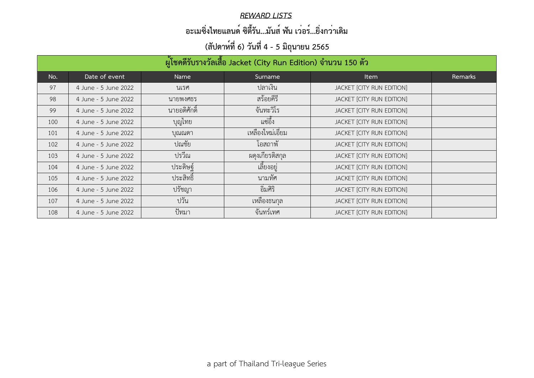#### *REWARD LISTS*

### **อะเมซิ่งไทยแลนด์ ซิตี้รัน...มันส์ ฟัน เว่อร์...ยิ่งกว่าเดิม**

| ้ผู้โชคดีรับรางวัลเสื้อ Jacket (City Run Edition) จำนวน 150 ตัว |                      |                 |                  |                                  |         |  |
|-----------------------------------------------------------------|----------------------|-----------------|------------------|----------------------------------|---------|--|
| No.                                                             | Date of event        | Name            | Surname          | <b>Item</b>                      | Remarks |  |
| 97                                                              | 4 June - 5 June 2022 | นเรศ            | ปลาเงิน          | JACKET [CITY RUN EDITION]        |         |  |
| 98                                                              | 4 June - 5 June 2022 | นายพงศธร        | สร้อยคีรี        | JACKET [CITY RUN EDITION]        |         |  |
| 99                                                              | 4 June - 5 June 2022 | นายอดิศักดิ์    | จันทะวิโร        | JACKET [CITY RUN EDITION]        |         |  |
| 100                                                             | 4 June - 5 June 2022 | <b>้</b> บุญไทย | แซ่อึ้ง          | <b>JACKET [CITY RUN EDITION]</b> |         |  |
| 101                                                             | 4 June - 5 June 2022 | บุณณดา          | เหลืองใหม่เอี่ยม | JACKET [CITY RUN EDITION]        |         |  |
| 102                                                             | 4 June - 5 June 2022 | ปณชัย           | โอสถาพั          | JACKET [CITY RUN EDITION]        |         |  |
| 103                                                             | 4 June - 5 June 2022 | ปรวีณ           | ผดงเกียรติสกุล   | JACKET [CITY RUN EDITION]        |         |  |
| 104                                                             | 4 June - 5 June 2022 | ประดิษฐ์        | เลี้ยงอยู่       | JACKET [CITY RUN EDITION]        |         |  |
| 105                                                             | 4 June - 5 June 2022 | ประสิทธิ์       | นามทัศ           | JACKET [CITY RUN EDITION]        |         |  |
| 106                                                             | 4 June - 5 June 2022 | ปรัชญา          | อิมศิริ          | JACKET [CITY RUN EDITION]        |         |  |
| 107                                                             | 4 June - 5 June 2022 | ปวัน            | เหลืองธนกุล      | <b>JACKET [CITY RUN EDITION]</b> |         |  |
| 108                                                             | 4 June - 5 June 2022 | ปัทมา           | จันทร์เทศ        | JACKET [CITY RUN EDITION]        |         |  |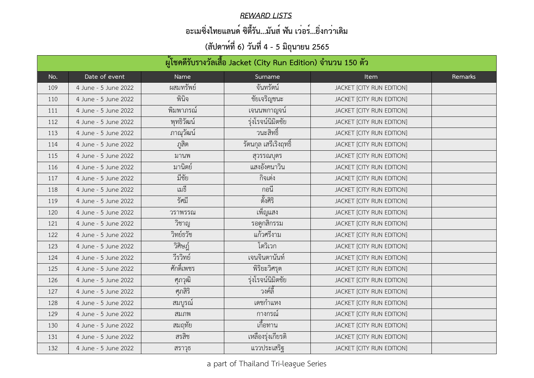#### *REWARD LISTS*

### **อะเมซิ่งไทยแลนด์ ซิตี้รัน...มันส์ ฟัน เว่อร์...ยิ่งกว่าเดิม**

| ้ผู้โชคดีรับรางวัลเสื้อ Jacket (City Run Edition) จำนวน 150 ตัว |                      |              |                         |                           |         |
|-----------------------------------------------------------------|----------------------|--------------|-------------------------|---------------------------|---------|
| No.                                                             | Date of event        | Name         | Surname                 | <b>Item</b>               | Remarks |
| 109                                                             | 4 June - 5 June 2022 | ผสมทรัพย์    | จันทรัตน์               | JACKET [CITY RUN EDITION] |         |
| 110                                                             | 4 June - 5 June 2022 | พินิจ        | ชัยเจริญชนะ             | JACKET [CITY RUN EDITION] |         |
| 111                                                             | 4 June - 5 June 2022 | พิมพาภรณ์    | ้เจนนพกาญจน์            | JACKET [CITY RUN EDITION] |         |
| 112                                                             | 4 June - 5 June 2022 | พุทธิวัฒน์   | รุ่งโรจน์นิมิตชัย       | JACKET [CITY RUN EDITION] |         |
| 113                                                             | 4 June - 5 June 2022 | ภาณุวัฒน์    | วนะสิทธิ์               | JACKET [CITY RUN EDITION] |         |
| 114                                                             | 4 June - 5 June 2022 | <u>ภ</u> สิต | ุรัตนกุล เสรีเริงฤทธิ์  | JACKET [CITY RUN EDITION] |         |
| 115                                                             | 4 June - 5 June 2022 | มานพ         | สุวรรณบุตร              | JACKET [CITY RUN EDITION] |         |
| 116                                                             | 4 June - 5 June 2022 | มานิตย์      | ้ แสงอังคนาว <u>ิ</u> น | JACKET [CITY RUN EDITION] |         |
| 117                                                             | 4 June - 5 June 2022 | มีชัย        | กิจเต่ง                 | JACKET [CITY RUN EDITION] |         |
| 118                                                             | 4 June - 5 June 2022 | เมธี         | ึกอน                    | JACKET [CITY RUN EDITION] |         |
| 119                                                             | 4 June - 5 June 2022 | รัศมี        | ตั้งศิริ                | JACKET [CITY RUN EDITION] |         |
| 120                                                             | 4 June - 5 June 2022 | วราพรรณ      | เพ็ญแสง                 | JACKET [CITY RUN EDITION] |         |
| 121                                                             | 4 June - 5 June 2022 | วิชาญ        | รอดูกสิกรรม             | JACKET [CITY RUN EDITION] |         |
| 122                                                             | 4 June - 5 June 2022 | วิทย์ธวัช    | แก้วศรีงาม              | JACKET [CITY RUN EDITION] |         |
| 123                                                             | 4 June - 5 June 2022 | วิศิษฎ์      | โตวิเวก                 | JACKET [CITY RUN EDITION] |         |
| 124                                                             | 4 June - 5 June 2022 | วีรวิทย์     | เจนจินตานันท์           | JACKET [CITY RUN EDITION] |         |
| 125                                                             | 4 June - 5 June 2022 | ศักดิ์เพชร   | พิริยะวิศรต             | JACKET [CITY RUN EDITION] |         |
| 126                                                             | 4 June - 5 June 2022 | ศุภวุฒิ      | รุ่งโรจน์นิมิตชัย       | JACKET [CITY RUN EDITION] |         |
| 127                                                             | 4 June - 5 June 2022 | ศุภสิริ      | วงค์ลี้                 | JACKET [CITY RUN EDITION] |         |
| 128                                                             | 4 June - 5 June 2022 | สมบูรณ์      | เดชก้าแหง               | JACKET [CITY RUN EDITION] |         |
| 129                                                             | 4 June - 5 June 2022 | สมภพ         | กางกรณ์                 | JACKET [CITY RUN EDITION] |         |
| 130                                                             | 4 June - 5 June 2022 | สมฤทัย       | เกิอทาน                 | JACKET [CITY RUN EDITION] |         |
| 131                                                             | 4 June - 5 June 2022 | สรสิช        | เหลืองรุ่งเกียรติ       | JACKET [CITY RUN EDITION] |         |
| 132                                                             | 4 June - 5 June 2022 | สราวุธ       | แววประเสริฐ             | JACKET [CITY RUN EDITION] |         |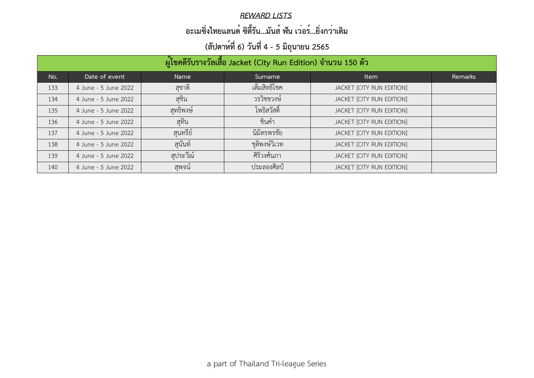#### *REWARD LISTS*

### **อะเมซิ่งไทยแลนด์ ซิตี้รัน...มันส์ ฟัน เว่อร์...ยิ่งกว่าเดิม**

| ผู้โชคดีรับรางวัลเสื้อ Jacket (City Run Edition) จำนวน 150 ตัว |                      |          |                        |                                  |         |  |
|----------------------------------------------------------------|----------------------|----------|------------------------|----------------------------------|---------|--|
| No.                                                            | Date of event        | Name     | Surname                | Item                             | Remarks |  |
| 133                                                            | 4 June - 5 June 2022 | ิสชาติ   | เต็มสิทธิโชค           | JACKET [CITY RUN EDITION]        |         |  |
| 134                                                            | 4 June - 5 June 2022 | ิสซิน    | วรวิชชวงษ์             | JACKET [CITY RUN EDITION]        |         |  |
| 135                                                            | 4 June - 5 June 2022 | สทธิพงษ์ | โพธิสวัสดิ์            | <b>JACKET [CITY RUN EDITION]</b> |         |  |
| 136                                                            | 4 June - 5 June 2022 | สทิน     | ชินคำ                  | JACKET [CITY RUN EDITION]        |         |  |
| 137                                                            | 4 June - 5 June 2022 | สนทรีย์  | นิมิตรพรชัย            | JACKET [CITY RUN EDITION]        |         |  |
| 138                                                            | 4 June - 5 June 2022 | ิสนันท์  | ชุติพงษ์วิเวท          | JACKET [CITY RUN EDITION]        |         |  |
| 139                                                            | 4 June - 5 June 2022 | สประวีณ์ | ศิริวงศ์นภา            | JACKET [CITY RUN EDITION]        |         |  |
| 140                                                            | 4 June - 5 June 2022 | ิสพจน์   | <sub>ประลองศิลป์</sub> | <b>JACKET [CITY RUN EDITION]</b> |         |  |